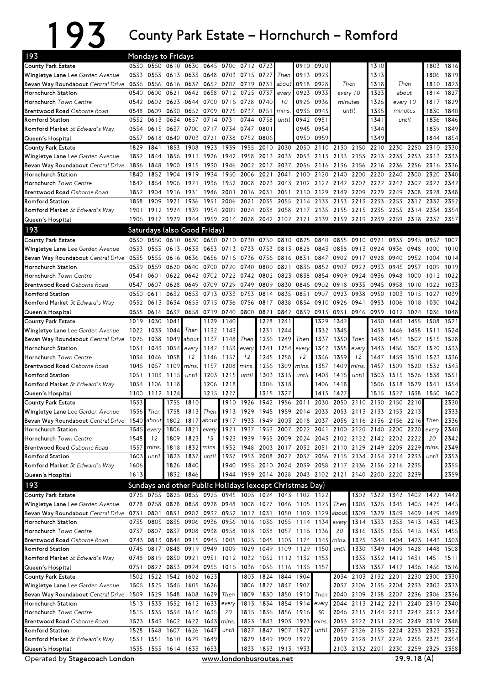## 193 County Park Estate – Hornchurch – Romford

| 193                                                      |              | <b>Mondays to Fridays</b> |              |                                                 |                     |             |                                                          |           |                                  |              |                                                                        |                |                                    |              |                               |           |              |              |
|----------------------------------------------------------|--------------|---------------------------|--------------|-------------------------------------------------|---------------------|-------------|----------------------------------------------------------|-----------|----------------------------------|--------------|------------------------------------------------------------------------|----------------|------------------------------------|--------------|-------------------------------|-----------|--------------|--------------|
| <b>County Park Estate</b>                                |              |                           |              |                                                 |                     |             | 0530 0550 0610 0630 0645 0700 0712 0723                  |           |                                  |              | 0910 0920                                                              |                |                                    | 1310         |                               |           |              | 1803 1816    |
| Wingletye Lane Lee Garden Avenue                         |              | 0533 0553 0613 0633       |              |                                                 | 0648 0703 0715      |             |                                                          | 0727      | Then                             | 0913         | 0923                                                                   |                |                                    | 1313         |                               |           | 1806         | 1819         |
| Bevan Way Roundabout Central Drive 0536                  |              | 0556                      | 0616         | 0637                                            |                     | 0652 0707   | 0719                                                     | 0731      | aboutl                           | 0918         | 0928                                                                   | Then           |                                    | 1318         | Then                          |           | 1810         | 1823         |
| Hornchurch Station                                       | 0540         | 0600                      | 0621         | 0642 0658                                       |                     | 0712 0725   |                                                          | 0737      | every                            | 0923         | 0933                                                                   | every 10       |                                    | 1323         | about                         |           | 1814         | 1827         |
| Hornchurch Town Centre                                   |              | 0542 0602 0623            |              | 0644 0700 0716 0728                             |                     |             |                                                          | 0740      | 10                               | 0926         | 0936                                                                   | minutes        |                                    | 1326         | every 10                      |           | 1817         | 1829         |
| Brentwood Road Osborne Road                              | 0548         | 0609                      | 0630         |                                                 | 0652 0709           | 0725        | 0737                                                     | 0751      | mins.                            | 0936         | 0945                                                                   |                | until                              | 1335         | minutes                       |           | 1830         | 1840         |
| <b>Romford Station</b>                                   | 0552         | 0613                      | 0634         | 0657                                            | 0714                | 0731        | 0744                                                     | 0758      | until                            |              | 0942 0951                                                              |                |                                    | 1341         | until                         |           | 1836         | 1846         |
| Romford Market St Edward's Way                           | 0554         |                           | 0615 0637    |                                                 | 0700 0717 0734      |             | 0747                                                     | 0801      |                                  | 0945         | 0954                                                                   |                |                                    | 1344         |                               |           | 1839         | 1849         |
| Queen's Hospital                                         | 0557         | 0618                      | 0640         |                                                 | 0703 0721 0738      |             | 0752                                                     | 0806      |                                  | 0950         | 0959                                                                   |                |                                    | 1349         |                               |           | 1844         | 1854         |
| <b>County Park Estate</b>                                | 1829         | 1841                      | 1853         | 1908                                            | 1923                | 1939        | 1955                                                     | 2010      | 2030                             | 2050         | 2110                                                                   | 2130           | 2150                               | 2210         | 2230                          | 2250      | 2310         | 2330         |
| Wingletye Lane Lee Garden Avenue                         | 1832         | 1844                      | 1856         | 1911                                            | 1926                | 1942        | 1958                                                     |           | 2013 2033                        | 2053         | 2113                                                                   | 2133 2153      |                                    | 2213         | 2233 2253                     |           | 2313         | 2333         |
| Bevan Way Roundabout Central Drive                       | 1836         | 1848                      | 1900         | 1915                                            | 1930                | 1946        | 2002                                                     |           | 2017 2037                        | 2056         | 2116                                                                   | 2136 2156      |                                    | 2216         | 2236 2256                     |           | 2316         | 2336         |
| Hornchurch Station                                       | 1840         | 1852                      | 1904         | 1919                                            | 1934                | 1950        | 2006                                                     | 2021      | 2041                             | 2100         | 2120                                                                   | 2140           | 2200                               | 2220         | 2240                          | 2300      | 2320         | 2340         |
| Hornchurch Town Centre                                   |              | 1842 1854                 | 1906         | 1921                                            | 1936                |             | 1952 2008                                                |           |                                  |              | 2023 2043 2102 2122 2142 2202 2222 2242 2302 2322                      |                |                                    |              |                               |           |              | 2342         |
| Brentwood Road Osborne Road                              | 1852         | 1904                      | 1916         | 1931                                            |                     | 1946 2001   | 2016                                                     | 2031      | 2051                             |              | 2110 2129 2149 2209                                                    |                |                                    | 2229         | 2249                          | 2308      | 2328         | 2348         |
| Romford Station                                          | 1858         | 1909                      | 1921         | 1936                                            | 1951                | 2006        | 2021                                                     | 2035      | 2055                             | 2114         | 2133                                                                   | 2153           | 2213                               | 2233         | 2253 2312                     |           | 2332         | 2352         |
| Romford Market St Edward's Way                           | 1901         |                           | 1912 1924    | 1939                                            |                     | 1954 2009   | 2024                                                     |           |                                  |              | 2038 2058 2117 2135 2155 2215                                          |                |                                    | 2235         | 2255 2314                     |           | 2334         | 2354         |
| Queen's Hospital                                         | 1906         |                           | 1917 1929    | 1944 1959 2014 2028                             |                     |             |                                                          |           |                                  |              | 2042 2102 2121 2139 2159 2219 2239                                     |                |                                    |              | 2259 2318 2337                |           |              | 2357         |
| 193                                                      |              |                           |              | Saturdays (also Good Friday)                    |                     |             |                                                          |           |                                  |              |                                                                        |                |                                    |              |                               |           |              |              |
| <b>County Park Estate</b>                                | 0530         | 0550                      | 0610         | 0630                                            | 0650                |             | 0710 0730                                                | 0750      | 0810                             | 0825         | 0840                                                                   | 0855           | 0910                               | 0921         |                               | 0933 0945 | 0957         | 1007         |
| Wingletye Lane Lee Garden Avenue                         | 0533         | 0553                      | 0613         | 0633                                            | 0653                | 0713        | 0733                                                     |           | 0753 0813                        | 0828         | 0843                                                                   | 0858           | 0913                               | 0924         | 0936 0948                     |           | 1000         | 1010         |
| Bevan Way Roundabout Central Drive                       | 0535         | 0555                      | 0616         | 0636                                            | 0656                | 0716        | 0736                                                     | 0756      | 0816                             | 0831         | 0847                                                                   | 0902           | 0917                               | 0928         | 0940                          | 0952      | 1004         | 1014         |
| Hornchurch Station                                       | 0539         | 0559                      | 0620         | 0640                                            | 0700                | 0720        | 0740                                                     | 0800      | 0821                             | 0836         | 0852                                                                   | 0907           | 0922                               | 0933         | 0945                          | 0957      | 1009         | 1019         |
| Hornchurch Town Centre                                   | 0541         | 0601                      | 0622         |                                                 | 0642 0702 0722 0742 |             |                                                          | 0802 0823 |                                  | 0838         | 0854                                                                   | 0909           | 0924                               | 0936         | 0948                          | 1000      | 1012         | 1022         |
| Brentwood Road Osborne Road                              | 0547         | 0607                      | 0628         | 0649                                            | 0709                | 0729        | 0749                                                     | 0809      | 0830                             | 0846         | 0902                                                                   | 0918           | 0933                               | 0945         | 0958                          | 1010      | 1022         | 1033         |
| <b>Romford Station</b>                                   | 0550         | 0611                      | 0632         | 0653                                            | 0713                | 0733        | 0753                                                     | 0814      | 0835                             | 0851         | 0907                                                                   | 0923           | 0938                               | 0950         | 1003                          | 1015      | 1027         | 1039         |
| Romford Market St Edward's Way                           | 0552<br>0555 | 0613                      | 0634<br>0637 | 0655                                            | 0715                | 0736        | 0756<br>0719 0740 0800 0821                              | 0817      | 0838                             | 0854<br>0859 | 0910                                                                   | 0926           | 0941                               | 0953         | 1006                          | 1018      | 1030         | 1042         |
| Queen's Hospital<br><b>County Park Estate</b>            | 1019         | 0616<br>1030              | 1041         | 0658                                            | 1129                | 1140        |                                                          | 1228      | 0842<br>1241                     |              | 0915<br>1329                                                           | 0931<br>1342   | 0946                               | 0959<br>1430 | 1012 1024<br>1443             | 1455      | 1036<br>1508 | 1048<br>1521 |
| Wingletye Lane Lee Garden Avenue                         | 1022         | 1033                      | 1044         | Then                                            | 1132                | 1143        |                                                          | 1231      | 1244                             |              | 1332                                                                   | 1345           |                                    | 1433         | 1446                          | 1458      | 1511         | 1524         |
| Bevan Way Roundabout Central Drive                       | 1026         | 1038                      | 1049         | about                                           | 1137                | 1148        | Then                                                     | 1236      | 1249                             | Then         | 1337                                                                   | 1350           | Then                               | 1438         | 1451                          |           | 1502 1515    | 1528         |
| Hornchurch Station                                       | 1031         | 1043                      | 1054         | every                                           | 1142                | 1153        | every                                                    | 1241      | 1254                             | every        | 1342                                                                   | 1355           | every                              | 1443         | 1456                          | 1507      | 1520         | 1533         |
| Hornchurch Town Centre                                   | 1034         | 1046                      | 1058         | 12                                              | 1146                | 1157        | 12                                                       | 1245      | 1258                             | 12           | 1346                                                                   | 1359           | 12                                 | 1447         | 1459                          | 1510      | 1523         | 1536         |
| Brentwood Road Osborne Road                              | 1045         | 1057                      | 1109         | mins.                                           | 1157                | 1208        | mins.                                                    | 1256      | 1309                             | mins.        | 1357                                                                   | 1409           | mins.                              | 1457         | 1509                          | 1520      | 1532         | 1545         |
| <b>Romford Station</b>                                   | 1051         | 1103                      | 1115         | until                                           | 1203                | 1215        | until                                                    | 1303      | 1315                             | until        | 1403                                                                   | 1415           | until                              | 1503         | 1515                          | 1526      | 1538         | 1551         |
| Romford Market St Edward's Way                           | 1054         | 1106                      | 1118         |                                                 | 1206                | 1218        |                                                          | 1306      | 1318                             |              | 1406                                                                   | 1418           |                                    | 1506         | 1518 1529 1541                |           |              | 1554         |
| Queen's Hospital                                         | 1100         | 1112 1124                 |              |                                                 |                     | 1215 1227   |                                                          | 1315      | 1327                             |              | 1415                                                                   | 1427           |                                    | 1515         | 1527                          | 1538      | 1550         | 1602         |
| <b>County Park Estate</b>                                | 1533         |                           | 1755         | 1810                                            |                     |             | 1910 1926                                                | 1942      |                                  | 1956 2011    |                                                                        | 2030 2050 2110 |                                    | 2130         | 2150                          | 2210      |              | 2330         |
| Wingletye Lane Lee Garden Avenue                         |              | 1536 Then                 | 1758         |                                                 |                     |             |                                                          |           |                                  |              | 1813 Then 1913 1929 1945 1959 2014 2033 2053 2113 2133 2153 2213       |                |                                    |              |                               |           |              | 2333         |
| Bevan Way Roundabout Central Drive 1540 about            |              |                           |              |                                                 |                     |             |                                                          |           |                                  |              | 1802 1817 about 1917 1933 1949 2003 2018 2037 2056 2116 2136 2156 2216 |                |                                    |              |                               |           | Then         | 2336         |
| Hornchurch Station                                       |              | 1545 every                |              | 1806 1821                                       | every               | 1921        | 1937                                                     |           | 1953 2007                        |              | 2022 2041                                                              |                | 2100 2120 2140 2200 2220           |              |                               |           | every        | 2340         |
| Hornchurch Town Centre                                   | 1548         | 12                        |              | 1809 1823                                       | 15                  |             | 1923 1939                                                |           |                                  |              | 1955 2009 2024 2043 2102 2122 2142 2202 2222                           |                |                                    |              |                               |           | 20           | 2342         |
| Brentwood Road Osborne Road                              | 1557         | mins.                     |              | 1818 1832                                       | mins.               | 1932        | 1948                                                     |           |                                  |              | 2003 2017 2032 2051 2110 2129 2149 2209 2229                           |                |                                    |              |                               |           | mins.        | 2349         |
| <b>Romford Station</b>                                   | 1603         | until                     | 1823         | 1837                                            | until               | 1937        |                                                          |           |                                  |              | 1953 2008 2022 2037 2056 2115 2134 2154                                |                |                                    |              | 2214 2233                     |           | until        | 2353         |
| Romford Market St Edward's Way                           | 1606         |                           |              | 1826 1840                                       |                     |             |                                                          |           |                                  |              | 1940 1955 2010 2024 2039 2058 2117 2136 2156 2216 2235                 |                |                                    |              |                               |           |              | 2355         |
| Queen's Hospital                                         | 1613         |                           |              | 1832 1846                                       |                     |             |                                                          |           |                                  |              | 1944 1959 2014 2028 2043 2102 2121 2140 2200 2220 2239                 |                |                                    |              |                               |           |              | 2359         |
| 193                                                      |              |                           |              |                                                 |                     |             | Sundays and other Public Holidays (except Christmas Day) |           |                                  |              |                                                                        |                |                                    |              |                               |           |              |              |
| County Park Estate                                       |              |                           |              |                                                 |                     |             | 0725 0755 0825 0855 0925 0945 1005 1024 1043 1102 1122   |           |                                  |              |                                                                        |                |                                    |              | 1302 1322 1342 1402 1422 1442 |           |              |              |
| Wingletye Lane Lee Garden Avenue                         |              | 0728 0758 0828            |              | 0858 0928 0948 1008                             |                     |             |                                                          |           |                                  |              | 1027 1046 1105 1125                                                    | Then           | 1305                               |              | 1325 1345 1405 1425 1445      |           |              |              |
| Bevan Way Roundabout Central Drive 0731 0801             |              |                           | 0831         | 0902                                            |                     |             |                                                          |           |                                  |              | 0932 0952 1012 1031 1050 1109 1129 about                               |                | 1309                               | 1329         | 1349 1409                     |           | 1429 1449    |              |
| Hornchurch Station                                       |              | 0735 0805                 |              | 0835 0906                                       | 0936                | 0956        |                                                          |           |                                  |              | 1016 1036 1055 1114 1134                                               | every          | 1314                               | 1333         | 1353 1413                     |           | 1433         | 1453         |
| Hornchurch Town Centre                                   |              | 0737 0807 0837 0908       |              |                                                 |                     |             | 0938 0958 1018 1038 1057 1116 1136                       |           |                                  |              |                                                                        | 20             | 1316                               | 1335         | 1355 1415 1435                |           |              | 1455         |
| Brentwood Road Osborne Road                              |              | 0743 0813 0844 0915       |              |                                                 |                     |             | 0945 1005 1025                                           |           |                                  |              | 1045 1105 1124 1145 mins.                                              |                | 1325                               | 1344         | 1404 1423                     |           | 1443         | 1503         |
| <b>Romford Station</b>                                   |              | 0746 0817                 | 0848         | 0919                                            | 0949                | 1009        | 1029                                                     |           | 1049 1109                        | 1129         | 1150                                                                   | until          | 1330                               | 1349         | 1409 1428                     |           | 1448         | 1508         |
| Romford Market St Edward's Way                           |              |                           |              |                                                 |                     |             | 0748 0819 0850 0921 0951 1012 1032 1052 1112 1132 1153   |           |                                  |              |                                                                        |                |                                    |              | 1333 1352 1412 1431 1451 1511 |           |              |              |
| Queen's Hospital                                         |              |                           |              |                                                 |                     |             | 0751 0822 0853 0924 0955 1016 1036 1056 1116 1136 1157   |           |                                  |              |                                                                        |                | 1338                               |              | 1357 1417 1436                |           | 1456 1516    |              |
| <b>County Park Estate</b>                                |              |                           |              | 1502 1522 1542 1602 1623                        |                     |             | 1803                                                     |           | 1824 1844                        | 1904         |                                                                        |                | 2034 2103 2132 2201 2230           |              |                               |           | 2300         | 2330         |
| Wingletye Lane Lee Garden Avenue                         |              |                           |              | 1505 1525 1545 1605 1626                        |                     |             | 1806                                                     |           | 1827 1847                        | 1907         |                                                                        | 2037           | 2106 2135 2204 2233 2303           |              |                               |           |              | 2333         |
| Bevan Way Roundabout Central Drive<br>Hornchurch Station |              | 1513 1533                 |              | 1509 1529 1548 1608 1629 Then<br>1552 1612 1633 |                     |             | 1809<br>1813                                             |           | 1830 1850 1910<br>1834 1854 1914 |              | Then                                                                   |                | 2040 2109 2138 2207 2236           |              | 2113 2142 2211 2240 2310      |           | 2306         | 2336         |
| Hornchurch Town Centre                                   |              |                           |              | 1515 1535 1554 1614 1635                        |                     | every<br>20 | 1815                                                     |           | 1836 1856 1916                   |              | every<br>30                                                            | 2044           | 2046 2115 2144 2213 2242 2312 2342 |              |                               |           |              | 2340         |
| Brentwood Road Osborne Road                              |              |                           |              | 1523 1543 1602 1622 1643                        |                     | mins.       | 1823                                                     |           | 1843 1903 1923                   |              | mins                                                                   |                | 2053 2122 2151 2220 2249 2319 2348 |              |                               |           |              |              |
| <b>Romford Station</b>                                   |              | 1528 1548                 |              | 1607 1626 1647                                  |                     | until       | 1827                                                     |           | 1847 1907 1927                   |              | until                                                                  |                | 2057 2126 2155 2224 2253 2323 2352 |              |                               |           |              |              |
| Romford Market St Edward's Way                           | 1531         |                           |              | 1551 1610 1629 1649                             |                     |             | 1829                                                     |           | 1849 1909 1929                   |              |                                                                        |                | 2059 2128 2157 2226 2255 2325 2354 |              |                               |           |              |              |
| Queen's Hospital                                         |              |                           |              | 1535 1555 1614 1633 1653                        |                     |             | 1833                                                     |           | 1853 1913 1933                   |              |                                                                        |                | 2103 2132 2201 2230 2259 2329 2358 |              |                               |           |              |              |
|                                                          |              |                           |              |                                                 |                     |             |                                                          |           |                                  |              |                                                                        |                |                                    |              |                               |           |              |              |

Operated by Stagecoach London www.londonbusroutes.net 29.9.18 (A)